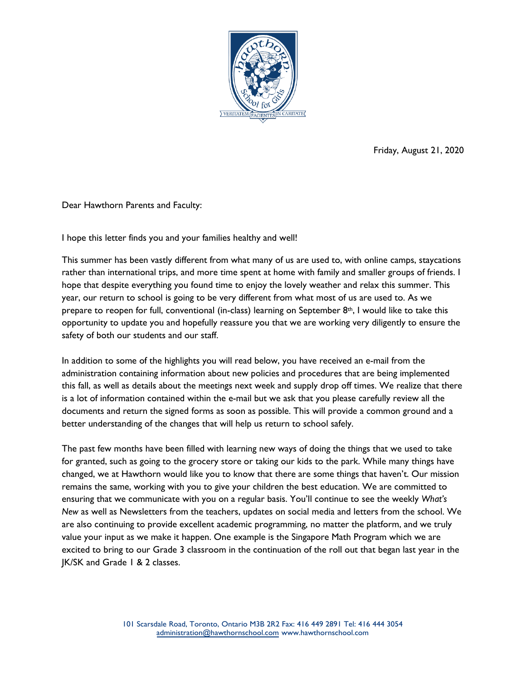

Friday, August 21, 2020

Dear Hawthorn Parents and Faculty:

I hope this letter finds you and your families healthy and well!

This summer has been vastly different from what many of us are used to, with online camps, staycations rather than international trips, and more time spent at home with family and smaller groups of friends. I hope that despite everything you found time to enjoy the lovely weather and relax this summer. This year, our return to school is going to be very different from what most of us are used to. As we prepare to reopen for full, conventional (in-class) learning on September  $8<sup>th</sup>$ , I would like to take this opportunity to update you and hopefully reassure you that we are working very diligently to ensure the safety of both our students and our staff.

In addition to some of the highlights you will read below, you have received an e-mail from the administration containing information about new policies and procedures that are being implemented this fall, as well as details about the meetings next week and supply drop off times. We realize that there is a lot of information contained within the e-mail but we ask that you please carefully review all the documents and return the signed forms as soon as possible. This will provide a common ground and a better understanding of the changes that will help us return to school safely.

The past few months have been filled with learning new ways of doing the things that we used to take for granted, such as going to the grocery store or taking our kids to the park. While many things have changed, we at Hawthorn would like you to know that there are some things that haven't. Our mission remains the same, working with you to give your children the best education. We are committed to ensuring that we communicate with you on a regular basis. You'll continue to see the weekly *What's New* as well as Newsletters from the teachers, updates on social media and letters from the school. We are also continuing to provide excellent academic programming, no matter the platform, and we truly value your input as we make it happen. One example is the Singapore Math Program which we are excited to bring to our Grade 3 classroom in the continuation of the roll out that began last year in the JK/SK and Grade 1 & 2 classes.